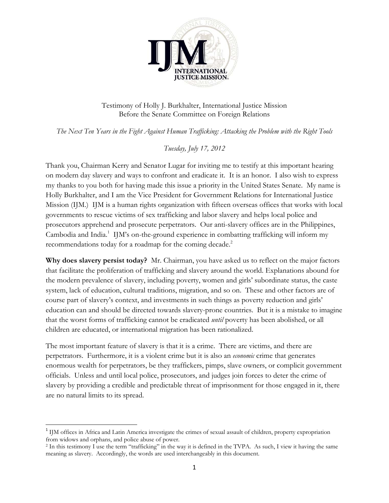

Testimony of Holly J. Burkhalter, International Justice Mission Before the Senate Committee on Foreign Relations

*The Next Ten Years in the Fight Against Human Trafficking: Attacking the Problem with the Right Tools* 

*Tuesday, July 17, 2012* 

Thank you, Chairman Kerry and Senator Lugar for inviting me to testify at this important hearing on modern day slavery and ways to confront and eradicate it. It is an honor. I also wish to express my thanks to you both for having made this issue a priority in the United States Senate. My name is Holly Burkhalter, and I am the Vice President for Government Relations for International Justice Mission (IJM.) IJM is a human rights organization with fifteen overseas offices that works with local governments to rescue victims of sex trafficking and labor slavery and helps local police and prosecutors apprehend and prosecute perpetrators. Our anti-slavery offices are in the Philippines, Cambodia and India.<sup>1</sup> IJM's on-the-ground experience in combatting trafficking will inform my recommendations today for a roadmap for the coming decade.<sup>2</sup>

**Why does slavery persist today?** Mr. Chairman, you have asked us to reflect on the major factors that facilitate the proliferation of trafficking and slavery around the world. Explanations abound for the modern prevalence of slavery, including poverty, women and girls' subordinate status, the caste system, lack of education, cultural traditions, migration, and so on. These and other factors are of course part of slavery's context, and investments in such things as poverty reduction and girls' education can and should be directed towards slavery-prone countries. But it is a mistake to imagine that the worst forms of trafficking cannot be eradicated *until* poverty has been abolished, or all children are educated, or international migration has been rationalized.

The most important feature of slavery is that it is a crime. There are victims, and there are perpetrators. Furthermore, it is a violent crime but it is also an *economic* crime that generates enormous wealth for perpetrators, be they traffickers, pimps, slave owners, or complicit government officials. Unless and until local police, prosecutors, and judges join forces to deter the crime of slavery by providing a credible and predictable threat of imprisonment for those engaged in it, there are no natural limits to its spread.

<sup>&</sup>lt;sup>1</sup> IJM offices in Africa and Latin America investigate the crimes of sexual assault of children, property expropriation from widows and orphans, and police abuse of power. 2 In this testimony I use the term "trafficking" in the way it is defined in the TVPA. As such, I view it having the same

meaning as slavery. Accordingly, the words are used interchangeably in this document.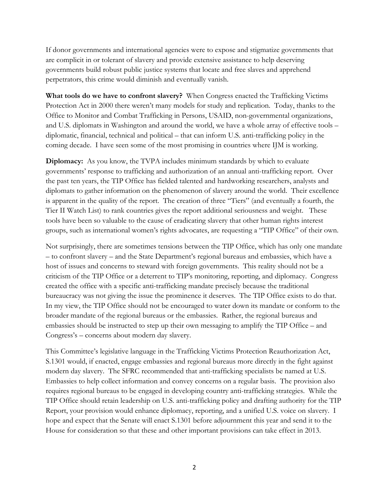If donor governments and international agencies were to expose and stigmatize governments that are complicit in or tolerant of slavery and provide extensive assistance to help deserving governments build robust public justice systems that locate and free slaves and apprehend perpetrators, this crime would diminish and eventually vanish.

**What tools do we have to confront slavery?** When Congress enacted the Trafficking Victims Protection Act in 2000 there weren't many models for study and replication. Today, thanks to the Office to Monitor and Combat Trafficking in Persons, USAID, non-governmental organizations, and U.S. diplomats in Washington and around the world, we have a whole array of effective tools – diplomatic, financial, technical and political – that can inform U.S. anti-trafficking policy in the coming decade. I have seen some of the most promising in countries where IJM is working.

**Diplomacy:** As you know, the TVPA includes minimum standards by which to evaluate governments' response to trafficking and authorization of an annual anti-trafficking report. Over the past ten years, the TIP Office has fielded talented and hardworking researchers, analysts and diplomats to gather information on the phenomenon of slavery around the world. Their excellence is apparent in the quality of the report. The creation of three "Tiers" (and eventually a fourth, the Tier II Watch List) to rank countries gives the report additional seriousness and weight. These tools have been so valuable to the cause of eradicating slavery that other human rights interest groups, such as international women's rights advocates, are requesting a "TIP Office" of their own.

Not surprisingly, there are sometimes tensions between the TIP Office, which has only one mandate – to confront slavery – and the State Department's regional bureaus and embassies, which have a host of issues and concerns to steward with foreign governments. This reality should not be a criticism of the TIP Office or a deterrent to TIP's monitoring, reporting, and diplomacy. Congress created the office with a specific anti-trafficking mandate precisely because the traditional bureaucracy was not giving the issue the prominence it deserves. The TIP Office exists to do that. In my view, the TIP Office should not be encouraged to water down its mandate or conform to the broader mandate of the regional bureaus or the embassies. Rather, the regional bureaus and embassies should be instructed to step up their own messaging to amplify the TIP Office – and Congress's – concerns about modern day slavery.

This Committee's legislative language in the Trafficking Victims Protection Reauthorization Act, S.1301 would, if enacted, engage embassies and regional bureaus more directly in the fight against modern day slavery. The SFRC recommended that anti-trafficking specialists be named at U.S. Embassies to help collect information and convey concerns on a regular basis. The provision also requires regional bureaus to be engaged in developing country anti-trafficking strategies. While the TIP Office should retain leadership on U.S. anti-trafficking policy and drafting authority for the TIP Report, your provision would enhance diplomacy, reporting, and a unified U.S. voice on slavery. I hope and expect that the Senate will enact S.1301 before adjournment this year and send it to the House for consideration so that these and other important provisions can take effect in 2013.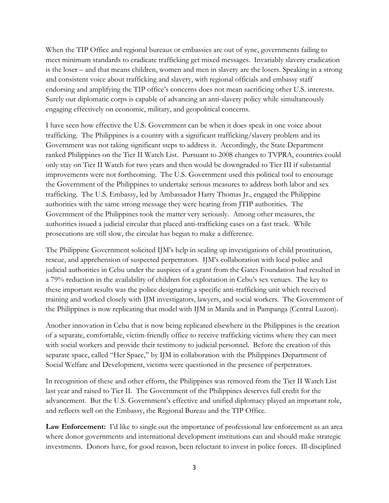When the TIP Office and regional bureaus or embassies are out of sync, governments failing to meet minimum standards to eradicate trafficking get mixed messages. Invariably slavery eradication is the loser – and that means children, women and men in slavery are the losers. Speaking in a strong and consistent voice about trafficking and slavery, with regional officials and embassy staff endorsing and amplifying the TIP office's concerns does not mean sacrificing other U.S. interests. Surely our diplomatic corps is capable of advancing an anti-slavery policy while simultaneously engaging effectively on economic, military, and geopolitical concerns.

I have seen how effective the U.S. Government can be when it does speak in one voice about trafficking. The Philippines is a country with a significant trafficking/slavery problem and its Government was not taking significant steps to address it. Accordingly, the State Department ranked Philippines on the Tier II Watch List. Pursuant to 2008 changes to TVPRA, countries could only stay on Tier II Watch for two years and then would be downgraded to Tier III if substantial improvements were not forthcoming. The U.S. Government used this political tool to encourage the Government of the Philippines to undertake serious measures to address both labor and sex trafficking. The U.S. Embassy, led by Ambassador Harry Thomas Jr., engaged the Philippine authorities with the same strong message they were hearing from JTIP authorities. The Government of the Philippines took the matter very seriously. Among other measures, the authorities issued a judicial circular that placed anti-trafficking cases on a fast track. While prosecutions are still slow, the circular has begun to make a difference.

The Philippine Government solicited IJM's help in scaling up investigations of child prostitution, rescue, and apprehension of suspected perpetrators. IJM's collaboration with local police and judicial authorities in Cebu under the auspices of a grant from the Gates Foundation had resulted in a 79% reduction in the availability of children for exploitation in Cebu's sex venues. The key to these important results was the police designating a specific anti-trafficking unit which received training and worked closely with IJM investigators, lawyers, and social workers. The Government of the Philippines is now replicating that model with IJM in Manila and in Pampanga (Central Luzon).

Another innovation in Cebu that is now being replicated elsewhere in the Philippines is the creation of a separate, comfortable, victim-friendly office to receive trafficking victims where they can meet with social workers and provide their testimony to judicial personnel. Before the creation of this separate space, called "Her Space," by IJM in collaboration with the Philippines Department of Social Welfare and Development, victims were questioned in the presence of perpetrators.

In recognition of these and other efforts, the Philippines was removed from the Tier II Watch List last year and raised to Tier II. The Government of the Philippines deserves full credit for the advancement. But the U.S. Government's effective and unified diplomacy played an important role, and reflects well on the Embassy, the Regional Bureau and the TIP Office.

**Law Enforcement:** I'd like to single out the importance of professional law enforcement as an area where donor governments and international development institutions can and should make strategic investments. Donors have, for good reason, been reluctant to invest in police forces. Ill-disciplined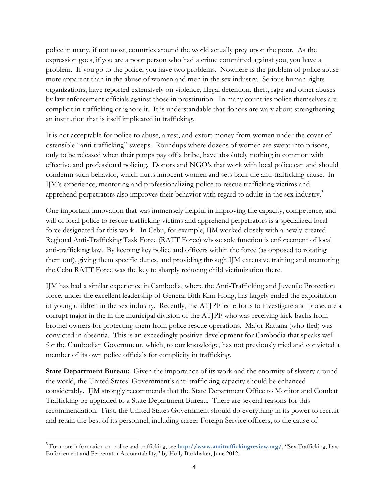police in many, if not most, countries around the world actually prey upon the poor. As the expression goes, if you are a poor person who had a crime committed against you, you have a problem. If you go to the police, you have two problems. Nowhere is the problem of police abuse more apparent than in the abuse of women and men in the sex industry. Serious human rights organizations, have reported extensively on violence, illegal detention, theft, rape and other abuses by law enforcement officials against those in prostitution. In many countries police themselves are complicit in trafficking or ignore it. It is understandable that donors are wary about strengthening an institution that is itself implicated in trafficking.

It is not acceptable for police to abuse, arrest, and extort money from women under the cover of ostensible "anti-trafficking" sweeps. Roundups where dozens of women are swept into prisons, only to be released when their pimps pay off a bribe, have absolutely nothing in common with effective and professional policing. Donors and NGO's that work with local police can and should condemn such behavior, which hurts innocent women and sets back the anti-trafficking cause. In IJM's experience, mentoring and professionalizing police to rescue trafficking victims and apprehend perpetrators also improves their behavior with regard to adults in the sex industry.<sup>3</sup>

One important innovation that was immensely helpful in improving the capacity, competence, and will of local police to rescue trafficking victims and apprehend perpetrators is a specialized local force designated for this work. In Cebu, for example, IJM worked closely with a newly-created Regional Anti-Trafficking Task Force (RATT Force) whose sole function is enforcement of local anti-trafficking law. By keeping key police and officers within the force (as opposed to rotating them out), giving them specific duties, and providing through IJM extensive training and mentoring the Cebu RATT Force was the key to sharply reducing child victimization there.

IJM has had a similar experience in Cambodia, where the Anti-Trafficking and Juvenile Protection force, under the excellent leadership of General Bith Kim Hong, has largely ended the exploitation of young children in the sex industry. Recently, the ATJPF led efforts to investigate and prosecute a corrupt major in the in the municipal division of the ATJPF who was receiving kick-backs from brothel owners for protecting them from police rescue operations. Major Rattana (who fled) was convicted in absentia. This is an exceedingly positive development for Cambodia that speaks well for the Cambodian Government, which, to our knowledge, has not previously tried and convicted a member of its own police officials for complicity in trafficking.

**State Department Bureau:** Given the importance of its work and the enormity of slavery around the world, the United States' Government's anti-trafficking capacity should be enhanced considerably. IJM strongly recommends that the State Department Office to Monitor and Combat Trafficking be upgraded to a State Department Bureau. There are several reasons for this recommendation. First, the United States Government should do everything in its power to recruit and retain the best of its personnel, including career Foreign Service officers, to the cause of

<sup>3</sup> For more information on police and trafficking, see **http://www.antitraffickingreview.org/**, "Sex Trafficking, Law Enforcement and Perpetrator Accountability," by Holly Burkhalter, June 2012.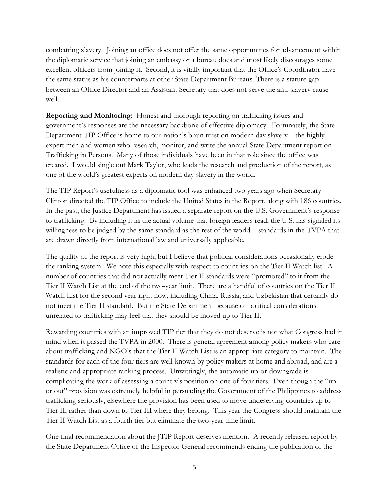combatting slavery. Joining an office does not offer the same opportunities for advancement within the diplomatic service that joining an embassy or a bureau does and most likely discourages some excellent officers from joining it. Second, it is vitally important that the Office's Coordinator have the same status as his counterparts at other State Department Bureaus. There is a stature gap between an Office Director and an Assistant Secretary that does not serve the anti-slavery cause well.

**Reporting and Monitoring:** Honest and thorough reporting on trafficking issues and government's responses are the necessary backbone of effective diplomacy. Fortunately, the State Department TIP Office is home to our nation's brain trust on modern day slavery – the highly expert men and women who research, monitor, and write the annual State Department report on Trafficking in Persons. Many of those individuals have been in that role since the office was created. I would single out Mark Taylor, who leads the research and production of the report, as one of the world's greatest experts on modern day slavery in the world.

The TIP Report's usefulness as a diplomatic tool was enhanced two years ago when Secretary Clinton directed the TIP Office to include the United States in the Report, along with 186 countries. In the past, the Justice Department has issued a separate report on the U.S. Government's response to trafficking. By including it in the actual volume that foreign leaders read, the U.S. has signaled its willingness to be judged by the same standard as the rest of the world – standards in the TVPA that are drawn directly from international law and universally applicable.

The quality of the report is very high, but I believe that political considerations occasionally erode the ranking system. We note this especially with respect to countries on the Tier II Watch list. A number of countries that did not actually meet Tier II standards were "promoted" to it from the Tier II Watch List at the end of the two-year limit. There are a handful of countries on the Tier II Watch List for the second year right now, including China, Russia, and Uzbekistan that certainly do not meet the Tier II standard. But the State Department because of political considerations unrelated to trafficking may feel that they should be moved up to Tier II.

Rewarding countries with an improved TIP tier that they do not deserve is not what Congress had in mind when it passed the TVPA in 2000. There is general agreement among policy makers who care about trafficking and NGO's that the Tier II Watch List is an appropriate category to maintain. The standards for each of the four tiers are well-known by policy makers at home and abroad, and are a realistic and appropriate ranking process. Unwittingly, the automatic up-or-downgrade is complicating the work of assessing a country's position on one of four tiers. Even though the "up or out" provision was extremely helpful in persuading the Government of the Philippines to address trafficking seriously, elsewhere the provision has been used to move undeserving countries up to Tier II, rather than down to Tier III where they belong. This year the Congress should maintain the Tier II Watch List as a fourth tier but eliminate the two-year time limit.

One final recommendation about the JTIP Report deserves mention. A recently released report by the State Department Office of the Inspector General recommends ending the publication of the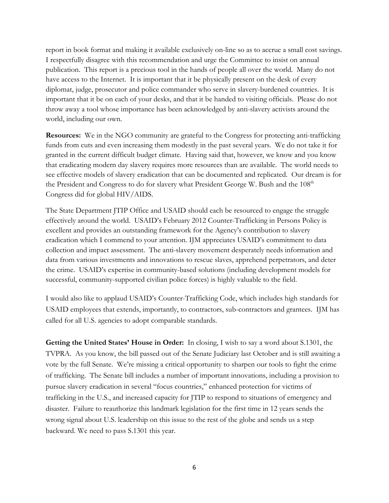report in book format and making it available exclusively on-line so as to accrue a small cost savings. I respectfully disagree with this recommendation and urge the Committee to insist on annual publication. This report is a precious tool in the hands of people all over the world. Many do not have access to the Internet. It is important that it be physically present on the desk of every diplomat, judge, prosecutor and police commander who serve in slavery-burdened countries. It is important that it be on each of your desks, and that it be handed to visiting officials. Please do not throw away a tool whose importance has been acknowledged by anti-slavery activists around the world, including our own.

**Resources:** We in the NGO community are grateful to the Congress for protecting anti-trafficking funds from cuts and even increasing them modestly in the past several years. We do not take it for granted in the current difficult budget climate. Having said that, however, we know and you know that eradicating modern day slavery requires more resources than are available. The world needs to see effective models of slavery eradication that can be documented and replicated. Our dream is for the President and Congress to do for slavery what President George W. Bush and the 108<sup>th</sup> Congress did for global HIV/AIDS.

The State Department JTIP Office and USAID should each be resourced to engage the struggle effectively around the world. USAID's February 2012 Counter-Trafficking in Persons Policy is excellent and provides an outstanding framework for the Agency's contribution to slavery eradication which I commend to your attention. IJM appreciates USAID's commitment to data collection and impact assessment. The anti-slavery movement desperately needs information and data from various investments and innovations to rescue slaves, apprehend perpetrators, and deter the crime. USAID's expertise in community-based solutions (including development models for successful, community-supported civilian police forces) is highly valuable to the field.

I would also like to applaud USAID's Counter-Trafficking Code, which includes high standards for USAID employees that extends, importantly, to contractors, sub-contractors and grantees. IJM has called for all U.S. agencies to adopt comparable standards.

**Getting the United States' House in Order:** In closing, I wish to say a word about S.1301, the TVPRA. As you know, the bill passed out of the Senate Judiciary last October and is still awaiting a vote by the full Senate. We're missing a critical opportunity to sharpen our tools to fight the crime of trafficking. The Senate bill includes a number of important innovations, including a provision to pursue slavery eradication in several "focus countries," enhanced protection for victims of trafficking in the U.S., and increased capacity for JTIP to respond to situations of emergency and disaster. Failure to reauthorize this landmark legislation for the first time in 12 years sends the wrong signal about U.S. leadership on this issue to the rest of the globe and sends us a step backward. We need to pass S.1301 this year.